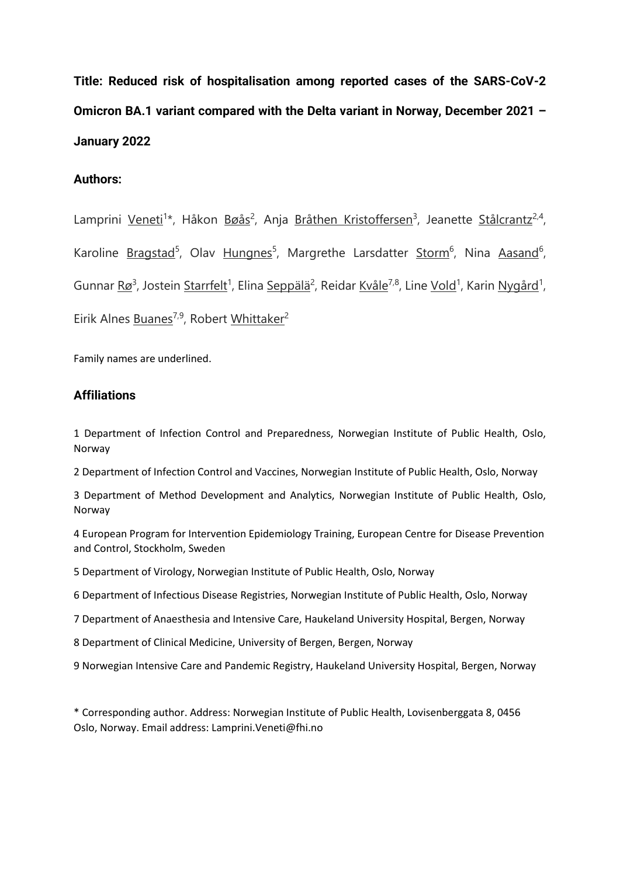**Title: Reduced risk of hospitalisation among reported cases of the SARS-CoV-2 Omicron BA.1 variant compared with the Delta variant in Norway, December 2021 – January 2022**

# **Authors:**

Lamprini Veneti<sup>1\*</sup>, Håkon Bøås<sup>2</sup>, Anja Bråthen Kristoffersen<sup>3</sup>, Jeanette Stålcrantz<sup>2,4</sup>, Karoline Bragstad<sup>5</sup>, Olav Hungnes<sup>5</sup>, Margrethe Larsdatter Storm<sup>6</sup>, Nina Aasand<sup>6</sup>, Gunnar <u>Rø3, Jostein Starrfelt</u><sup>1</sup>, Elina <u>Seppälä<sup>2</sup>, Reidar Kvåle<sup>7,8</sup>, Line Vold<sup>1</sup>, Karin Nygård<sup>1</sup>,</u> Eirik Alnes Buanes<sup>7,9</sup>, Robert Whittaker<sup>2</sup>

Family names are underlined.

## **Affiliations**

1 Department of Infection Control and Preparedness, Norwegian Institute of Public Health, Oslo, Norway

2 Department of Infection Control and Vaccines, Norwegian Institute of Public Health, Oslo, Norway

3 Department of Method Development and Analytics, Norwegian Institute of Public Health, Oslo, Norway

4 European Program for Intervention Epidemiology Training, European Centre for Disease Prevention and Control, Stockholm, Sweden

5 Department of Virology, Norwegian Institute of Public Health, Oslo, Norway

6 Department of Infectious Disease Registries, Norwegian Institute of Public Health, Oslo, Norway

7 Department of Anaesthesia and Intensive Care, Haukeland University Hospital, Bergen, Norway

8 Department of Clinical Medicine, University of Bergen, Bergen, Norway

9 Norwegian Intensive Care and Pandemic Registry, Haukeland University Hospital, Bergen, Norway

\* Corresponding author. Address: Norwegian Institute of Public Health, Lovisenberggata 8, 0456 Oslo, Norway. Email address: Lamprini.Veneti@fhi.no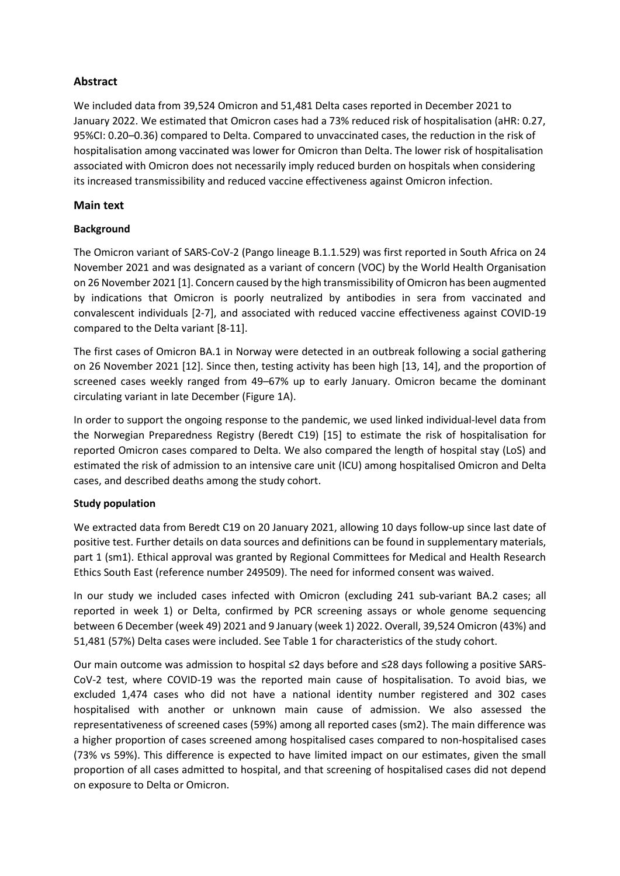# **Abstract**

We included data from 39,524 Omicron and 51,481 Delta cases reported in December 2021 to January 2022. We estimated that Omicron cases had a 73% reduced risk of hospitalisation (aHR: 0.27, 95%CI: 0.20–0.36) compared to Delta. Compared to unvaccinated cases, the reduction in the risk of hospitalisation among vaccinated was lower for Omicron than Delta. The lower risk of hospitalisation associated with Omicron does not necessarily imply reduced burden on hospitals when considering its increased transmissibility and reduced vaccine effectiveness against Omicron infection.

## **Main text**

## **Background**

The Omicron variant of SARS-CoV-2 (Pango lineage B.1.1.529) was first reported in South Africa on 24 November 2021 and was designated as a variant of concern (VOC) by the World Health Organisation on 26 November 2021 [1]. Concern caused by the high transmissibility of Omicron has been augmented by indications that Omicron is poorly neutralized by antibodies in sera from vaccinated and convalescent individuals [2-7], and associated with reduced vaccine effectiveness against COVID-19 compared to the Delta variant [8-11].

The first cases of Omicron BA.1 in Norway were detected in an outbreak following a social gathering on 26 November 2021 [12]. Since then, testing activity has been high [13, 14], and the proportion of screened cases weekly ranged from 49–67% up to early January. Omicron became the dominant circulating variant in late December (Figure 1A).

In order to support the ongoing response to the pandemic, we used linked individual-level data from the Norwegian Preparedness Registry (Beredt C19) [15] to estimate the risk of hospitalisation for reported Omicron cases compared to Delta. We also compared the length of hospital stay (LoS) and estimated the risk of admission to an intensive care unit (ICU) among hospitalised Omicron and Delta cases, and described deaths among the study cohort.

## **Study population**

We extracted data from Beredt C19 on 20 January 2021, allowing 10 days follow-up since last date of positive test. Further details on data sources and definitions can be found in supplementary materials, part 1 (sm1). Ethical approval was granted by Regional Committees for Medical and Health Research Ethics South East (reference number 249509). The need for informed consent was waived.

In our study we included cases infected with Omicron (excluding 241 sub-variant BA.2 cases; all reported in week 1) or Delta, confirmed by PCR screening assays or whole genome sequencing between 6 December (week 49) 2021 and 9 January (week 1) 2022. Overall, 39,524 Omicron (43%) and 51,481 (57%) Delta cases were included. See Table 1 for characteristics of the study cohort.

Our main outcome was admission to hospital ≤2 days before and ≤28 days following a positive SARS-CoV-2 test, where COVID-19 was the reported main cause of hospitalisation. To avoid bias, we excluded 1,474 cases who did not have a national identity number registered and 302 cases hospitalised with another or unknown main cause of admission. We also assessed the representativeness of screened cases (59%) among all reported cases (sm2). The main difference was a higher proportion of cases screened among hospitalised cases compared to non-hospitalised cases (73% vs 59%). This difference is expected to have limited impact on our estimates, given the small proportion of all cases admitted to hospital, and that screening of hospitalised cases did not depend on exposure to Delta or Omicron.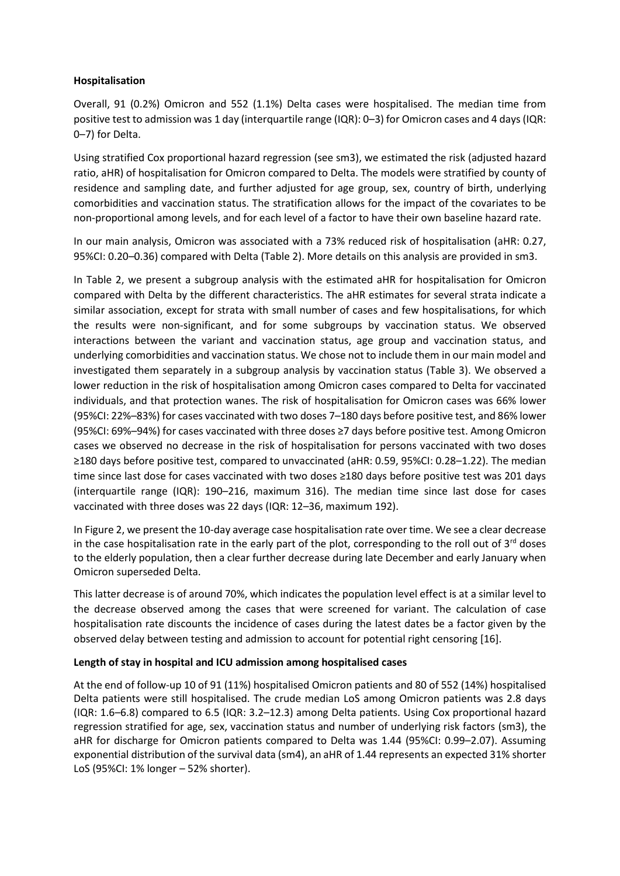## **Hospitalisation**

Overall, 91 (0.2%) Omicron and 552 (1.1%) Delta cases were hospitalised. The median time from positive test to admission was 1 day (interquartile range (IQR): 0–3) for Omicron cases and 4 days (IQR: 0–7) for Delta.

Using stratified Cox proportional hazard regression (see sm3), we estimated the risk (adjusted hazard ratio, aHR) of hospitalisation for Omicron compared to Delta. The models were stratified by county of residence and sampling date, and further adjusted for age group, sex, country of birth, underlying comorbidities and vaccination status. The stratification allows for the impact of the covariates to be non-proportional among levels, and for each level of a factor to have their own baseline hazard rate.

In our main analysis, Omicron was associated with a 73% reduced risk of hospitalisation (aHR: 0.27, 95%CI: 0.20–0.36) compared with Delta (Table 2). More details on this analysis are provided in sm3.

In Table 2, we present a subgroup analysis with the estimated aHR for hospitalisation for Omicron compared with Delta by the different characteristics. The aHR estimates for several strata indicate a similar association, except for strata with small number of cases and few hospitalisations, for which the results were non-significant, and for some subgroups by vaccination status. We observed interactions between the variant and vaccination status, age group and vaccination status, and underlying comorbidities and vaccination status. We chose not to include them in our main model and investigated them separately in a subgroup analysis by vaccination status (Table 3). We observed a lower reduction in the risk of hospitalisation among Omicron cases compared to Delta for vaccinated individuals, and that protection wanes. The risk of hospitalisation for Omicron cases was 66% lower (95%CI: 22%–83%) for cases vaccinated with two doses 7–180 days before positive test, and 86% lower (95%CI: 69%–94%) for cases vaccinated with three doses ≥7 days before positive test. Among Omicron cases we observed no decrease in the risk of hospitalisation for persons vaccinated with two doses ≥180 days before positive test, compared to unvaccinated (aHR: 0.59, 95%CI: 0.28–1.22). The median time since last dose for cases vaccinated with two doses ≥180 days before positive test was 201 days (interquartile range (IQR): 190–216, maximum 316). The median time since last dose for cases vaccinated with three doses was 22 days (IQR: 12–36, maximum 192).

In Figure 2, we present the 10-day average case hospitalisation rate over time. We see a clear decrease in the case hospitalisation rate in the early part of the plot, corresponding to the roll out of  $3^{rd}$  doses to the elderly population, then a clear further decrease during late December and early January when Omicron superseded Delta.

This latter decrease is of around 70%, which indicates the population level effect is at a similar level to the decrease observed among the cases that were screened for variant. The calculation of case hospitalisation rate discounts the incidence of cases during the latest dates be a factor given by the observed delay between testing and admission to account for potential right censoring [16].

### **Length of stay in hospital and ICU admission among hospitalised cases**

At the end of follow-up 10 of 91 (11%) hospitalised Omicron patients and 80 of 552 (14%) hospitalised Delta patients were still hospitalised. The crude median LoS among Omicron patients was 2.8 days (IQR: 1.6–6.8) compared to 6.5 (IQR: 3.2–12.3) among Delta patients. Using Cox proportional hazard regression stratified for age, sex, vaccination status and number of underlying risk factors (sm3), the aHR for discharge for Omicron patients compared to Delta was 1.44 (95%CI: 0.99–2.07). Assuming exponential distribution of the survival data (sm4), an aHR of 1.44 represents an expected 31% shorter LoS (95%CI: 1% longer – 52% shorter).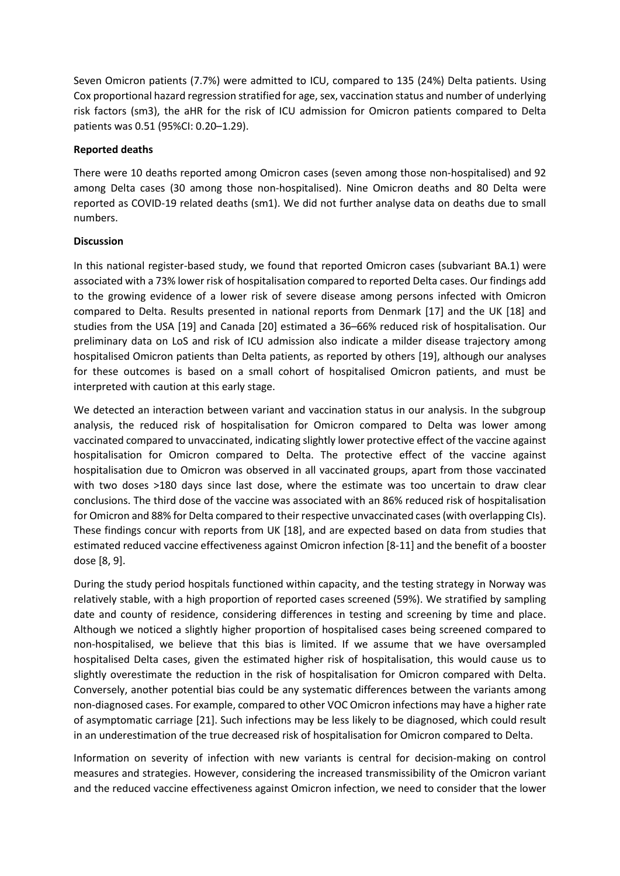Seven Omicron patients (7.7%) were admitted to ICU, compared to 135 (24%) Delta patients. Using Cox proportional hazard regression stratified for age, sex, vaccination status and number of underlying risk factors (sm3), the aHR for the risk of ICU admission for Omicron patients compared to Delta patients was 0.51 (95%CI: 0.20–1.29).

### **Reported deaths**

There were 10 deaths reported among Omicron cases (seven among those non-hospitalised) and 92 among Delta cases (30 among those non-hospitalised). Nine Omicron deaths and 80 Delta were reported as COVID-19 related deaths (sm1). We did not further analyse data on deaths due to small numbers.

#### **Discussion**

In this national register-based study, we found that reported Omicron cases (subvariant BA.1) were associated with a 73% lower risk of hospitalisation compared to reported Delta cases. Our findings add to the growing evidence of a lower risk of severe disease among persons infected with Omicron compared to Delta. Results presented in national reports from Denmark [17] and the UK [18] and studies from the USA [19] and Canada [20] estimated a 36–66% reduced risk of hospitalisation. Our preliminary data on LoS and risk of ICU admission also indicate a milder disease trajectory among hospitalised Omicron patients than Delta patients, as reported by others [19], although our analyses for these outcomes is based on a small cohort of hospitalised Omicron patients, and must be interpreted with caution at this early stage.

We detected an interaction between variant and vaccination status in our analysis. In the subgroup analysis, the reduced risk of hospitalisation for Omicron compared to Delta was lower among vaccinated compared to unvaccinated, indicating slightly lower protective effect of the vaccine against hospitalisation for Omicron compared to Delta. The protective effect of the vaccine against hospitalisation due to Omicron was observed in all vaccinated groups, apart from those vaccinated with two doses >180 days since last dose, where the estimate was too uncertain to draw clear conclusions. The third dose of the vaccine was associated with an 86% reduced risk of hospitalisation for Omicron and 88% for Delta compared to their respective unvaccinated cases (with overlapping CIs). These findings concur with reports from UK [18], and are expected based on data from studies that estimated reduced vaccine effectiveness against Omicron infection [8-11] and the benefit of a booster dose [8, 9].

During the study period hospitals functioned within capacity, and the testing strategy in Norway was relatively stable, with a high proportion of reported cases screened (59%). We stratified by sampling date and county of residence, considering differences in testing and screening by time and place. Although we noticed a slightly higher proportion of hospitalised cases being screened compared to non-hospitalised, we believe that this bias is limited. If we assume that we have oversampled hospitalised Delta cases, given the estimated higher risk of hospitalisation, this would cause us to slightly overestimate the reduction in the risk of hospitalisation for Omicron compared with Delta. Conversely, another potential bias could be any systematic differences between the variants among non-diagnosed cases. For example, compared to other VOC Omicron infections may have a higher rate of asymptomatic carriage [21]. Such infections may be less likely to be diagnosed, which could result in an underestimation of the true decreased risk of hospitalisation for Omicron compared to Delta.

Information on severity of infection with new variants is central for decision-making on control measures and strategies. However, considering the increased transmissibility of the Omicron variant and the reduced vaccine effectiveness against Omicron infection, we need to consider that the lower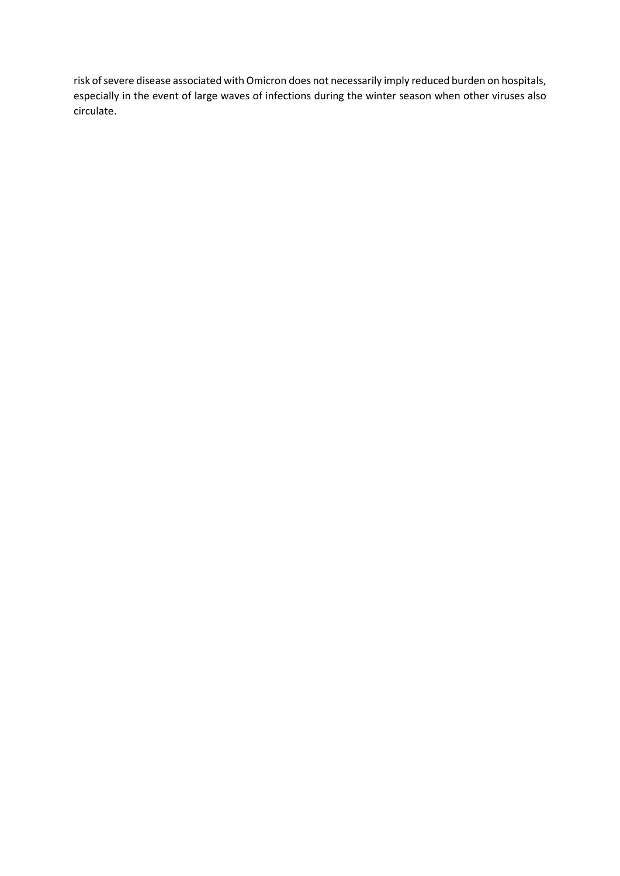risk of severe disease associated with Omicron does not necessarily imply reduced burden on hospitals, especially in the event of large waves of infections during the winter season when other viruses also circulate.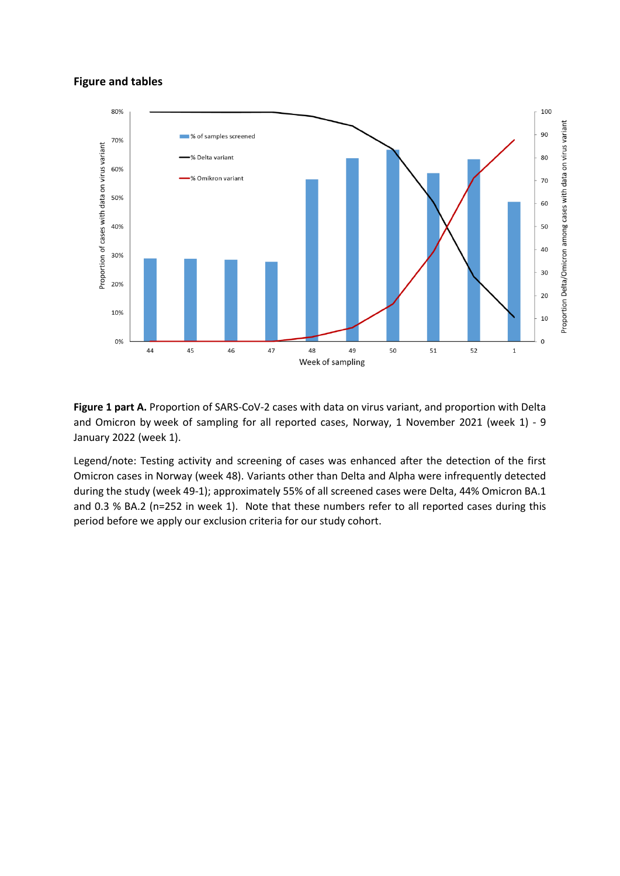#### **Figure and tables**



**Figure 1 part A.** Proportion of SARS-CoV-2 cases with data on virus variant, and proportion with Delta and Omicron by week of sampling for all reported cases, Norway, 1 November 2021 (week 1) - 9 January 2022 (week 1).

Legend/note: Testing activity and screening of cases was enhanced after the detection of the first Omicron cases in Norway (week 48). Variants other than Delta and Alpha were infrequently detected during the study (week 49-1); approximately 55% of all screened cases were Delta, 44% Omicron BA.1 and 0.3 % BA.2 (n=252 in week 1). Note that these numbers refer to all reported cases during this period before we apply our exclusion criteria for our study cohort.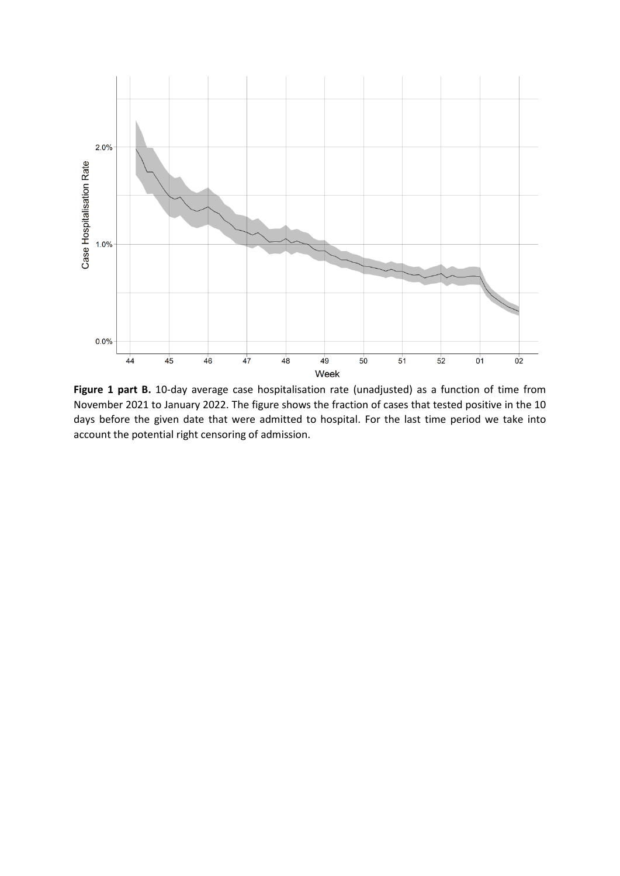

**Figure 1 part B.** 10-day average case hospitalisation rate (unadjusted) as a function of time from November 2021 to January 2022. The figure shows the fraction of cases that tested positive in the 10 days before the given date that were admitted to hospital. For the last time period we take into account the potential right censoring of admission.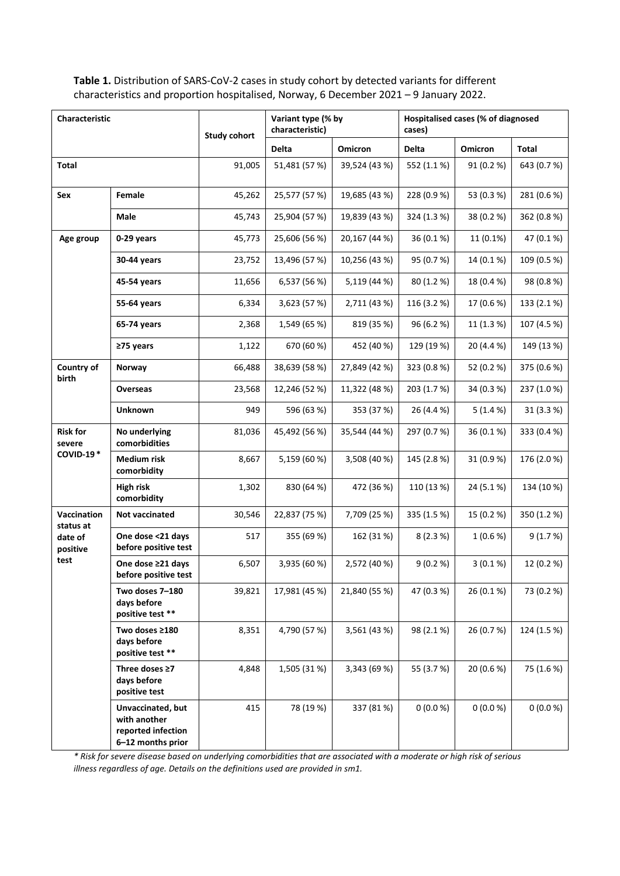**Table 1.** Distribution of SARS-CoV-2 cases in study cohort by detected variants for different characteristics and proportion hospitalised, Norway, 6 December 2021 – 9 January 2022.

| Characteristic                                          |                                                                              | <b>Study cohort</b> | Variant type (% by<br>characteristic) |               | Hospitalised cases (% of diagnosed<br>cases) |            |              |
|---------------------------------------------------------|------------------------------------------------------------------------------|---------------------|---------------------------------------|---------------|----------------------------------------------|------------|--------------|
|                                                         |                                                                              |                     | <b>Delta</b>                          | Omicron       | <b>Delta</b>                                 | Omicron    | <b>Total</b> |
| <b>Total</b>                                            |                                                                              | 91,005              | 51,481 (57%)                          | 39,524 (43 %) | 552 (1.1%)                                   | 91 (0.2 %) | 643 (0.7%)   |
| Sex                                                     | Female                                                                       | 45,262              | 25,577 (57 %)                         | 19,685 (43 %) | 228 (0.9 %)                                  | 53 (0.3 %) | 281 (0.6 %)  |
|                                                         | Male                                                                         | 45,743              | 25,904 (57 %)                         | 19,839 (43 %) | 324 (1.3 %)                                  | 38 (0.2 %) | 362 (0.8%)   |
| Age group                                               | 0-29 years                                                                   | 45,773              | 25,606 (56 %)                         | 20,167 (44 %) | 36 (0.1%)                                    | 11 (0.1%)  | 47 (0.1 %)   |
|                                                         | 30-44 years                                                                  | 23,752              | 13,496 (57 %)                         | 10,256 (43 %) | 95 (0.7%)                                    | 14 (0.1%)  | 109 (0.5 %)  |
|                                                         | 45-54 years                                                                  | 11,656              | 6,537 (56 %)                          | 5,119 (44 %)  | 80 (1.2 %)                                   | 18 (0.4 %) | 98 (0.8 %)   |
|                                                         | 55-64 years                                                                  | 6,334               | 3,623 (57 %)                          | 2,711 (43 %)  | 116 (3.2 %)                                  | 17 (0.6 %) | 133 (2.1%)   |
|                                                         | 65-74 years                                                                  | 2,368               | 1,549 (65 %)                          | 819 (35 %)    | 96 (6.2 %)                                   | 11 (1.3 %) | 107 (4.5 %)  |
|                                                         | ≥75 years                                                                    | 1,122               | 670 (60 %)                            | 452 (40 %)    | 129 (19 %)                                   | 20 (4.4 %) | 149 (13 %)   |
| Country of<br>birth                                     | Norway                                                                       | 66,488              | 38,639 (58 %)                         | 27,849 (42 %) | 323 (0.8 %)                                  | 52 (0.2 %) | 375 (0.6 %)  |
|                                                         | <b>Overseas</b>                                                              | 23,568              | 12,246 (52 %)                         | 11,322 (48 %) | 203 (1.7 %)                                  | 34 (0.3 %) | 237 (1.0%)   |
|                                                         | <b>Unknown</b>                                                               | 949                 | 596 (63 %)                            | 353 (37 %)    | 26 (4.4 %)                                   | 5(1.4%)    | 31 (3.3 %)   |
| <b>Risk for</b><br>severe<br><b>COVID-19*</b>           | No underlying<br>comorbidities                                               | 81,036              | 45,492 (56 %)                         | 35,544 (44 %) | 297 (0.7 %)                                  | 36 (0.1 %) | 333 (0.4 %)  |
|                                                         | <b>Medium risk</b><br>comorbidity                                            | 8,667               | 5,159 (60 %)                          | 3,508 (40 %)  | 145 (2.8 %)                                  | 31 (0.9 %) | 176 (2.0 %)  |
|                                                         | <b>High risk</b><br>comorbidity                                              | 1,302               | 830 (64 %)                            | 472 (36 %)    | 110 (13 %)                                   | 24 (5.1%)  | 134 (10 %)   |
| Vaccination<br>status at<br>date of<br>positive<br>test | Not vaccinated                                                               | 30,546              | 22,837 (75 %)                         | 7,709 (25 %)  | 335 (1.5 %)                                  | 15 (0.2 %) | 350 (1.2 %)  |
|                                                         | One dose <21 days<br>before positive test                                    | 517                 | 355 (69 %)                            | 162 (31 %)    | 8(2.3%)                                      | 1(0.6%     | 9(1.7%)      |
|                                                         | One dose ≥21 days<br>before positive test                                    | 6,507               | 3,935 (60 %)                          | 2,572 (40 %)  | 9(0.2%                                       | $3(0.1\%)$ | 12 (0.2 %)   |
|                                                         | Two doses 7-180<br>days before<br>positive test **                           | 39,821              | 17,981 (45 %)                         | 21,840 (55 %) | 47 (0.3 %)                                   | 26 (0.1 %) | 73 (0.2 %)   |
|                                                         | Two doses ≥180<br>days before<br>positive test **                            | 8,351               | 4,790 (57 %)                          | 3,561 (43 %)  | 98 (2.1 %)                                   | 26 (0.7 %) | 124 (1.5 %)  |
|                                                         | Three doses $\geq 7$<br>days before<br>positive test                         | 4,848               | 1,505 (31 %)                          | 3,343 (69 %)  | 55 (3.7 %)                                   | 20 (0.6 %) | 75 (1.6 %)   |
|                                                         | Unvaccinated, but<br>with another<br>reported infection<br>6-12 months prior | 415                 | 78 (19 %)                             | 337 (81 %)    | 0(0.0%                                       | 0(0.0%     | 0(0.0%       |

*\* Risk for severe disease based on underlying comorbidities that are associated with a moderate or high risk of serious illness regardless of age. Details on the definitions used are provided in sm1.*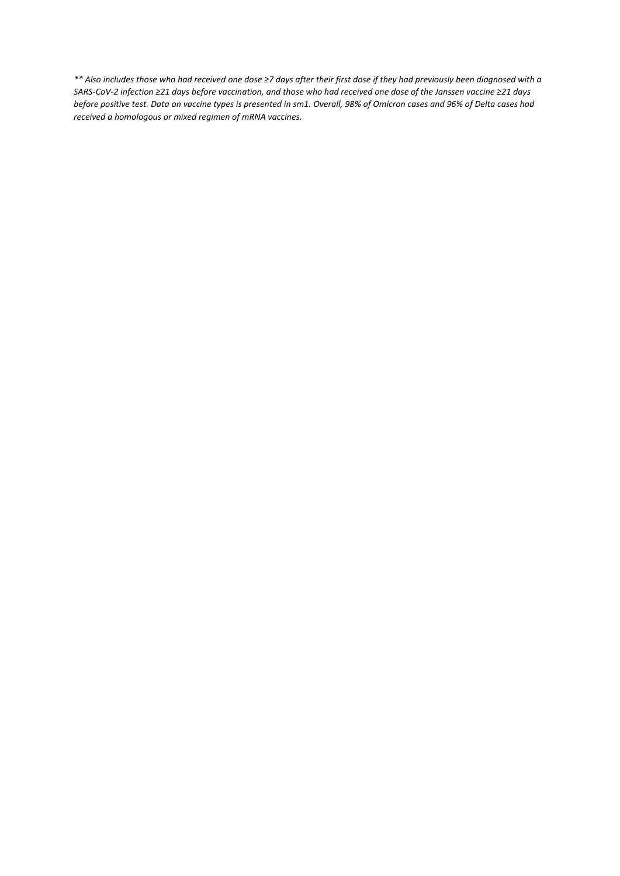*\*\* Also includes those who had received one dose ≥7 days after their first dose if they had previously been diagnosed with a SARS-CoV-2 infection ≥21 days before vaccination, and those who had received one dose of the Janssen vaccine ≥21 days before positive test. Data on vaccine types is presented in sm1. Overall, 98% of Omicron cases and 96% of Delta cases had received a homologous or mixed regimen of mRNA vaccines.*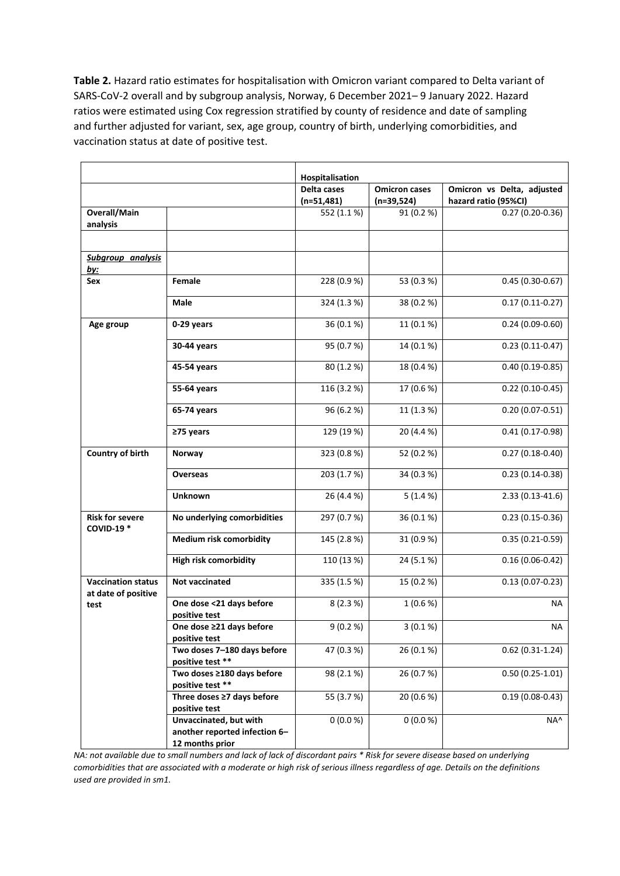**Table 2.** Hazard ratio estimates for hospitalisation with Omicron variant compared to Delta variant of SARS-CoV-2 overall and by subgroup analysis, Norway, 6 December 2021– 9 January 2022. Hazard ratios were estimated using Cox regression stratified by county of residence and date of sampling and further adjusted for variant, sex, age group, country of birth, underlying comorbidities, and vaccination status at date of positive test.

|                                                  |                                                                            | Hospitalisation             |                                      |                                                    |
|--------------------------------------------------|----------------------------------------------------------------------------|-----------------------------|--------------------------------------|----------------------------------------------------|
|                                                  |                                                                            | Delta cases<br>$(n=51,481)$ | <b>Omicron cases</b><br>$(n=39,524)$ | Omicron vs Delta, adjusted<br>hazard ratio (95%CI) |
| Overall/Main<br>analysis                         |                                                                            | 552 (1.1%)                  | 91 (0.2 %)                           | $0.27(0.20-0.36)$                                  |
| Subgroup analysis<br><u>by:</u>                  |                                                                            |                             |                                      |                                                    |
| Sex                                              | Female                                                                     | 228 (0.9%)                  | 53 (0.3 %)                           | $0.45(0.30-0.67)$                                  |
|                                                  | <b>Male</b>                                                                | 324 (1.3 %)                 | 38 (0.2 %)                           | $0.17(0.11-0.27)$                                  |
| Age group                                        | 0-29 years                                                                 | 36 (0.1%)                   | 11 (0.1 %)                           | $0.24(0.09-0.60)$                                  |
|                                                  | 30-44 years                                                                | 95 (0.7%)                   | 14 (0.1 %)                           | $0.23(0.11-0.47)$                                  |
|                                                  | 45-54 years                                                                | 80 (1.2 %)                  | 18 (0.4 %)                           | $0.40(0.19 - 0.85)$                                |
|                                                  | 55-64 years                                                                | 116 (3.2 %)                 | 17 (0.6 %)                           | $0.22(0.10-0.45)$                                  |
|                                                  | 65-74 years                                                                | 96 (6.2 %)                  | 11 (1.3 %)                           | $0.20(0.07 - 0.51)$                                |
|                                                  | ≥75 years                                                                  | 129 (19 %)                  | 20 (4.4 %)                           | $0.41(0.17-0.98)$                                  |
| Country of birth                                 | Norway                                                                     | 323 (0.8%)                  | 52 (0.2 %)                           | $0.27(0.18-0.40)$                                  |
|                                                  | <b>Overseas</b>                                                            | 203 (1.7%)                  | 34 (0.3 %)                           | $0.23(0.14-0.38)$                                  |
|                                                  | <b>Unknown</b>                                                             | 26 (4.4 %)                  | 5(1.4%)                              | 2.33 (0.13-41.6)                                   |
| <b>Risk for severe</b><br><b>COVID-19*</b>       | No underlying comorbidities                                                | 297 (0.7%)                  | 36 (0.1 %)                           | $0.23(0.15-0.36)$                                  |
|                                                  | Medium risk comorbidity                                                    | 145 (2.8%)                  | 31 (0.9 %)                           | $0.35(0.21-0.59)$                                  |
|                                                  | <b>High risk comorbidity</b>                                               | 110 (13 %)                  | 24 (5.1 %)                           | $0.16(0.06 - 0.42)$                                |
| <b>Vaccination status</b><br>at date of positive | Not vaccinated                                                             | 335 (1.5 %)                 | 15 (0.2 %)                           | $0.13(0.07 - 0.23)$                                |
| test                                             | One dose <21 days before<br>positive test                                  | 8(2.3%)                     | 1(0.6 %)                             | ΝA                                                 |
|                                                  | One dose ≥21 days before<br>positive test                                  | 9(0.2%                      | $3(0.1\%)$                           | NA                                                 |
|                                                  | Two doses 7-180 days before<br>positive test **                            | 47 (0.3 %)                  | 26 (0.1 %)                           | $0.62(0.31-1.24)$                                  |
|                                                  | Two doses ≥180 days before<br>positive test **                             | 98 (2.1 %)                  | 26 (0.7%)                            | $0.50(0.25-1.01)$                                  |
|                                                  | Three doses $\geq$ 7 days before<br>positive test                          | 55 (3.7 %)                  | 20 (0.6 %)                           | $0.19(0.08 - 0.43)$                                |
|                                                  | Unvaccinated, but with<br>another reported infection 6-<br>12 months prior | 0(0.0 %)                    | 0(0.0 %)                             | NA^                                                |

*NA: not available due to small numbers and lack of lack of discordant pairs \* Risk for severe disease based on underlying comorbidities that are associated with a moderate or high risk of serious illness regardless of age. Details on the definitions used are provided in sm1.*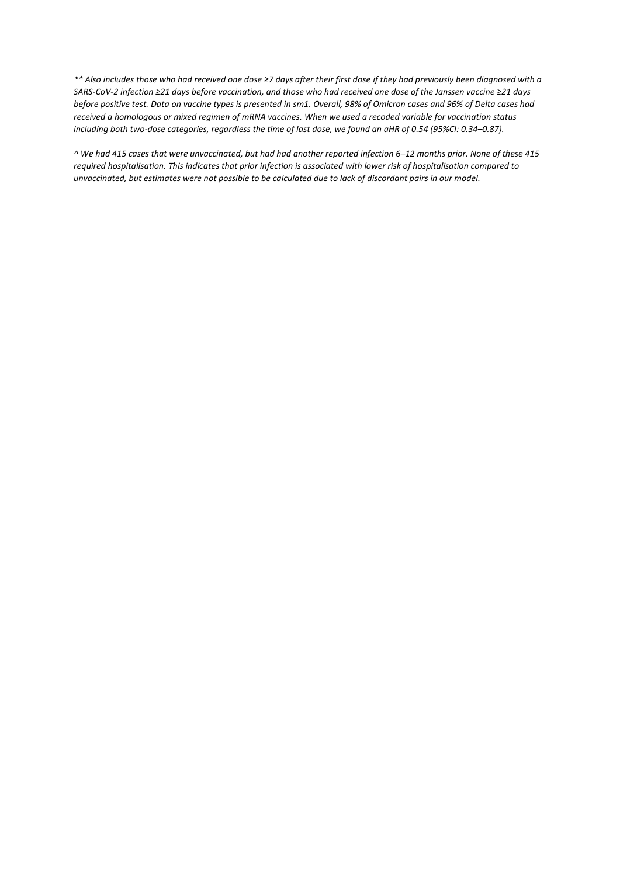*\*\* Also includes those who had received one dose ≥7 days after their first dose if they had previously been diagnosed with a SARS-CoV-2 infection ≥21 days before vaccination, and those who had received one dose of the Janssen vaccine ≥21 days before positive test. Data on vaccine types is presented in sm1. Overall, 98% of Omicron cases and 96% of Delta cases had received a homologous or mixed regimen of mRNA vaccines. When we used a recoded variable for vaccination status including both two-dose categories, regardless the time of last dose, we found an aHR of 0.54 (95%CI: 0.34–0.87).*

*^ We had 415 cases that were unvaccinated, but had had another reported infection 6–12 months prior. None of these 415 required hospitalisation. This indicates that prior infection is associated with lower risk of hospitalisation compared to unvaccinated, but estimates were not possible to be calculated due to lack of discordant pairs in our model.*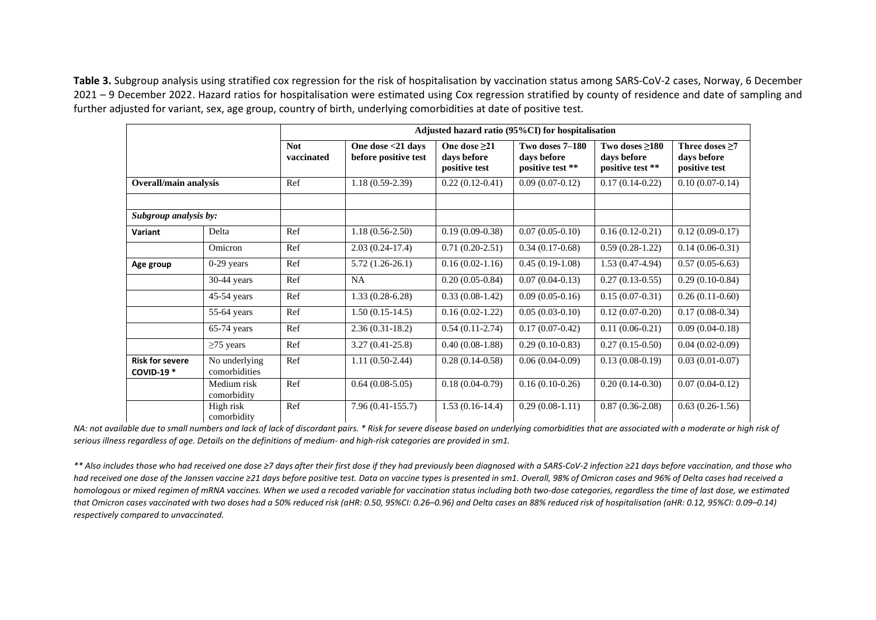**Table 3.** Subgroup analysis using stratified cox regression for the risk of hospitalisation by vaccination status among SARS-CoV-2 cases, Norway, 6 December 2021 – 9 December 2022. Hazard ratios for hospitalisation were estimated using Cox regression stratified by county of residence and date of sampling and further adjusted for variant, sex, age group, country of birth, underlying comorbidities at date of positive test.

|                                            |                                | Adjusted hazard ratio (95%CI) for hospitalisation |                                           |                                                |                                                    |                                                   |                                                      |  |
|--------------------------------------------|--------------------------------|---------------------------------------------------|-------------------------------------------|------------------------------------------------|----------------------------------------------------|---------------------------------------------------|------------------------------------------------------|--|
|                                            |                                | <b>Not</b><br>vaccinated                          | One dose <21 days<br>before positive test | One dose $>21$<br>days before<br>positive test | Two doses 7-180<br>days before<br>positive test ** | Two doses >180<br>days before<br>positive test ** | Three doses $\geq 7$<br>days before<br>positive test |  |
| <b>Overall/main analysis</b>               |                                | Ref                                               | $1.18(0.59-2.39)$                         | $0.22(0.12-0.41)$                              | $0.09(0.07-0.12)$                                  | $0.17(0.14-0.22)$                                 | $0.10(0.07-0.14)$                                    |  |
|                                            |                                |                                                   |                                           |                                                |                                                    |                                                   |                                                      |  |
| Subgroup analysis by:                      |                                |                                                   |                                           |                                                |                                                    |                                                   |                                                      |  |
| Variant                                    | Delta                          | Ref                                               | $1.18(0.56-2.50)$                         | $0.19(0.09-0.38)$                              | $0.07(0.05-0.10)$                                  | $0.16(0.12-0.21)$                                 | $0.12(0.09-0.17)$                                    |  |
|                                            | Omicron                        | Ref                                               | $2.03(0.24-17.4)$                         | $0.71(0.20-2.51)$                              | $0.34(0.17-0.68)$                                  | $0.59(0.28-1.22)$                                 | $0.14(0.06-0.31)$                                    |  |
| Age group                                  | $0-29$ years                   | Ref                                               | $5.72(1.26-26.1)$                         | $0.16(0.02-1.16)$                              | $0.45(0.19-1.08)$                                  | $1.53(0.47-4.94)$                                 | $0.57(0.05-6.63)$                                    |  |
|                                            | $30-44$ years                  | Ref                                               | <b>NA</b>                                 | $0.20(0.05-0.84)$                              | $0.07(0.04-0.13)$                                  | $0.27(0.13-0.55)$                                 | $0.29(0.10-0.84)$                                    |  |
|                                            | $45-54$ years                  | Ref                                               | $1.33(0.28-6.28)$                         | $0.33(0.08-1.42)$                              | $0.09(0.05-0.16)$                                  | $0.15(0.07-0.31)$                                 | $0.26(0.11-0.60)$                                    |  |
|                                            | 55-64 years                    | Ref                                               | $1.50(0.15-14.5)$                         | $0.16(0.02-1.22)$                              | $0.05(0.03-0.10)$                                  | $0.12(0.07-0.20)$                                 | $0.17(0.08-0.34)$                                    |  |
|                                            | $65-74$ years                  | Ref                                               | $2.36(0.31-18.2)$                         | $0.54(0.11-2.74)$                              | $0.17(0.07-0.42)$                                  | $0.11(0.06-0.21)$                                 | $0.09(0.04-0.18)$                                    |  |
|                                            | $\geq$ 75 years                | Ref                                               | $3.27(0.41 - 25.8)$                       | $0.40(0.08-1.88)$                              | $0.29(0.10-0.83)$                                  | $0.27(0.15-0.50)$                                 | $0.04(0.02-0.09)$                                    |  |
| <b>Risk for severe</b><br><b>COVID-19*</b> | No underlying<br>comorbidities | Ref                                               | $1.11(0.50-2.44)$                         | $0.28(0.14-0.58)$                              | $0.06(0.04-0.09)$                                  | $0.13(0.08-0.19)$                                 | $0.03(0.01-0.07)$                                    |  |
|                                            | Medium risk<br>comorbidity     | Ref                                               | $0.64(0.08-5.05)$                         | $0.18(0.04-0.79)$                              | $0.16(0.10-0.26)$                                  | $0.20(0.14-0.30)$                                 | $0.07(0.04 - 0.12)$                                  |  |
|                                            | High risk<br>comorbidity       | Ref                                               | $7.96(0.41-155.7)$                        | $1.53(0.16-14.4)$                              | $0.29(0.08-1.11)$                                  | $0.87(0.36-2.08)$                                 | $0.63(0.26-1.56)$                                    |  |

*NA: not available due to small numbers and lack of lack of discordant pairs. \* Risk for severe disease based on underlying comorbidities that are associated with a moderate or high risk of serious illness regardless of age. Details on the definitions of medium- and high-risk categories are provided in sm1.*

*\*\* Also includes those who had received one dose ≥7 days after their first dose if they had previously been diagnosed with a SARS-CoV-2 infection ≥21 days before vaccination, and those who had received one dose of the Janssen vaccine ≥21 days before positive test. Data on vaccine types is presented in sm1. Overall, 98% of Omicron cases and 96% of Delta cases had received a homologous or mixed regimen of mRNA vaccines. When we used a recoded variable for vaccination status including both two-dose categories, regardless the time of last dose, we estimated*  that Omicron cases vaccinated with two doses had a 50% reduced risk (aHR: 0.50, 95%CI: 0.26-0.96) and Delta cases an 88% reduced risk of hospitalisation (aHR: 0.12, 95%CI: 0.09-0.14) *respectively compared to unvaccinated.*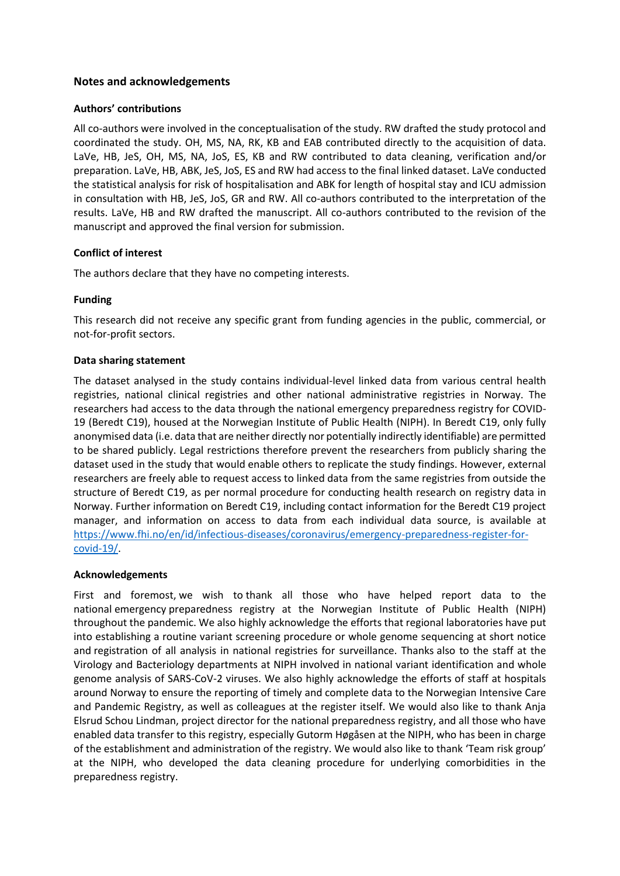## **Notes and acknowledgements**

#### **Authors' contributions**

All co-authors were involved in the conceptualisation of the study. RW drafted the study protocol and coordinated the study. OH, MS, NA, RK, KB and EAB contributed directly to the acquisition of data. LaVe, HB, JeS, OH, MS, NA, JoS, ES, KB and RW contributed to data cleaning, verification and/or preparation. LaVe, HB, ABK, JeS, JoS, ES and RW had access to the final linked dataset. LaVe conducted the statistical analysis for risk of hospitalisation and ABK for length of hospital stay and ICU admission in consultation with HB, JeS, JoS, GR and RW. All co-authors contributed to the interpretation of the results. LaVe, HB and RW drafted the manuscript. All co-authors contributed to the revision of the manuscript and approved the final version for submission.

### **Conflict of interest**

The authors declare that they have no competing interests.

#### **Funding**

This research did not receive any specific grant from funding agencies in the public, commercial, or not-for-profit sectors.

#### **Data sharing statement**

The dataset analysed in the study contains individual-level linked data from various central health registries, national clinical registries and other national administrative registries in Norway. The researchers had access to the data through the national emergency preparedness registry for COVID-19 (Beredt C19), housed at the Norwegian Institute of Public Health (NIPH). In Beredt C19, only fully anonymised data (i.e. data that are neither directly nor potentially indirectly identifiable) are permitted to be shared publicly. Legal restrictions therefore prevent the researchers from publicly sharing the dataset used in the study that would enable others to replicate the study findings. However, external researchers are freely able to request access to linked data from the same registries from outside the structure of Beredt C19, as per normal procedure for conducting health research on registry data in Norway. Further information on Beredt C19, including contact information for the Beredt C19 project manager, and information on access to data from each individual data source, is available at [https://www.fhi.no/en/id/infectious-diseases/coronavirus/emergency-preparedness-register-for](https://www.fhi.no/en/id/infectious-diseases/coronavirus/emergency-preparedness-register-for-covid-19/)[covid-19/.](https://www.fhi.no/en/id/infectious-diseases/coronavirus/emergency-preparedness-register-for-covid-19/)

### **Acknowledgements**

First and foremost, we wish to thank all those who have helped report data to the national emergency preparedness registry at the Norwegian Institute of Public Health (NIPH) throughout the pandemic. We also highly acknowledge the efforts that regional laboratories have put into establishing a routine variant screening procedure or whole genome sequencing at short notice and registration of all analysis in national registries for surveillance. Thanks also to the staff at the Virology and Bacteriology departments at NIPH involved in national variant identification and whole genome analysis of SARS-CoV-2 viruses. We also highly acknowledge the efforts of staff at hospitals around Norway to ensure the reporting of timely and complete data to the Norwegian Intensive Care and Pandemic Registry, as well as colleagues at the register itself. We would also like to thank Anja Elsrud Schou Lindman, project director for the national preparedness registry, and all those who have enabled data transfer to this registry, especially Gutorm Høgåsen at the NIPH, who has been in charge of the establishment and administration of the registry. We would also like to thank 'Team risk group' at the NIPH, who developed the data cleaning procedure for underlying comorbidities in the preparedness registry.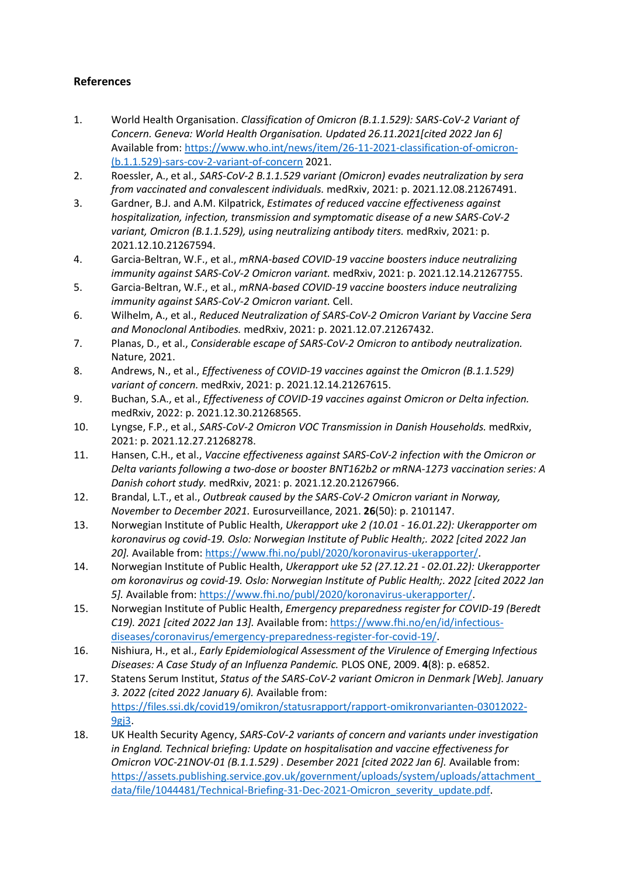# **References**

- 1. World Health Organisation. *Classification of Omicron (B.1.1.529): SARS-CoV-2 Variant of Concern. Geneva: World Health Organisation. Updated 26.11.2021[cited 2022 Jan 6]*  Available from: [https://www.who.int/news/item/26-11-2021-classification-of-omicron-](https://www.who.int/news/item/26-11-2021-classification-of-omicron-(b.1.1.529)-sars-cov-2-variant-of-concern) [\(b.1.1.529\)-sars-cov-2-variant-of-concern](https://www.who.int/news/item/26-11-2021-classification-of-omicron-(b.1.1.529)-sars-cov-2-variant-of-concern) 2021.
- 2. Roessler, A., et al., *SARS-CoV-2 B.1.1.529 variant (Omicron) evades neutralization by sera from vaccinated and convalescent individuals.* medRxiv, 2021: p. 2021.12.08.21267491.
- 3. Gardner, B.J. and A.M. Kilpatrick, *Estimates of reduced vaccine effectiveness against hospitalization, infection, transmission and symptomatic disease of a new SARS-CoV-2 variant, Omicron (B.1.1.529), using neutralizing antibody titers.* medRxiv, 2021: p. 2021.12.10.21267594.
- 4. Garcia-Beltran, W.F., et al., *mRNA-based COVID-19 vaccine boosters induce neutralizing immunity against SARS-CoV-2 Omicron variant.* medRxiv, 2021: p. 2021.12.14.21267755.
- 5. Garcia-Beltran, W.F., et al., *mRNA-based COVID-19 vaccine boosters induce neutralizing immunity against SARS-CoV-2 Omicron variant.* Cell.
- 6. Wilhelm, A., et al., *Reduced Neutralization of SARS-CoV-2 Omicron Variant by Vaccine Sera and Monoclonal Antibodies.* medRxiv, 2021: p. 2021.12.07.21267432.
- 7. Planas, D., et al., *Considerable escape of SARS-CoV-2 Omicron to antibody neutralization.* Nature, 2021.
- 8. Andrews, N., et al., *Effectiveness of COVID-19 vaccines against the Omicron (B.1.1.529) variant of concern.* medRxiv, 2021: p. 2021.12.14.21267615.
- 9. Buchan, S.A., et al., *Effectiveness of COVID-19 vaccines against Omicron or Delta infection.* medRxiv, 2022: p. 2021.12.30.21268565.
- 10. Lyngse, F.P., et al., *SARS-CoV-2 Omicron VOC Transmission in Danish Households.* medRxiv, 2021: p. 2021.12.27.21268278.
- 11. Hansen, C.H., et al., *Vaccine effectiveness against SARS-CoV-2 infection with the Omicron or Delta variants following a two-dose or booster BNT162b2 or mRNA-1273 vaccination series: A Danish cohort study.* medRxiv, 2021: p. 2021.12.20.21267966.
- 12. Brandal, L.T., et al., *Outbreak caused by the SARS-CoV-2 Omicron variant in Norway, November to December 2021.* Eurosurveillance, 2021. **26**(50): p. 2101147.
- 13. Norwegian Institute of Public Health, *Ukerapport uke 2 (10.01 - 16.01.22): Ukerapporter om koronavirus og covid-19. Oslo: Norwegian Institute of Public Health;. 2022 [cited 2022 Jan 20].* Available from: [https://www.fhi.no/publ/2020/koronavirus-ukerapporter/.](https://www.fhi.no/publ/2020/koronavirus-ukerapporter/)
- 14. Norwegian Institute of Public Health, *Ukerapport uke 52 (27.12.21 - 02.01.22): Ukerapporter om koronavirus og covid-19. Oslo: Norwegian Institute of Public Health;. 2022 [cited 2022 Jan 5].* Available from[: https://www.fhi.no/publ/2020/koronavirus-ukerapporter/.](https://www.fhi.no/publ/2020/koronavirus-ukerapporter/)
- 15. Norwegian Institute of Public Health, *Emergency preparedness register for COVID-19 (Beredt C19). 2021 [cited 2022 Jan 13].* Available from: [https://www.fhi.no/en/id/infectious](https://www.fhi.no/en/id/infectious-diseases/coronavirus/emergency-preparedness-register-for-covid-19/)[diseases/coronavirus/emergency-preparedness-register-for-covid-19/.](https://www.fhi.no/en/id/infectious-diseases/coronavirus/emergency-preparedness-register-for-covid-19/)
- 16. Nishiura, H., et al., *Early Epidemiological Assessment of the Virulence of Emerging Infectious Diseases: A Case Study of an Influenza Pandemic.* PLOS ONE, 2009. **4**(8): p. e6852.
- 17. Statens Serum Institut, *Status of the SARS-CoV-2 variant Omicron in Denmark [Web]. January 3. 2022 (cited 2022 January 6).* Available from: [https://files.ssi.dk/covid19/omikron/statusrapport/rapport-omikronvarianten-03012022-](https://files.ssi.dk/covid19/omikron/statusrapport/rapport-omikronvarianten-03012022-9gj3) [9gj3.](https://files.ssi.dk/covid19/omikron/statusrapport/rapport-omikronvarianten-03012022-9gj3)
- 18. UK Health Security Agency, *SARS-CoV-2 variants of concern and variants under investigation in England. Technical briefing: Update on hospitalisation and vaccine effectiveness for Omicron VOC-21NOV-01 (B.1.1.529) . Desember 2021 [cited 2022 Jan 6].* Available from: [https://assets.publishing.service.gov.uk/government/uploads/system/uploads/attachment\\_](https://assets.publishing.service.gov.uk/government/uploads/system/uploads/attachment_data/file/1044481/Technical-Briefing-31-Dec-2021-Omicron_severity_update.pdf) [data/file/1044481/Technical-Briefing-31-Dec-2021-Omicron\\_severity\\_update.pdf.](https://assets.publishing.service.gov.uk/government/uploads/system/uploads/attachment_data/file/1044481/Technical-Briefing-31-Dec-2021-Omicron_severity_update.pdf)